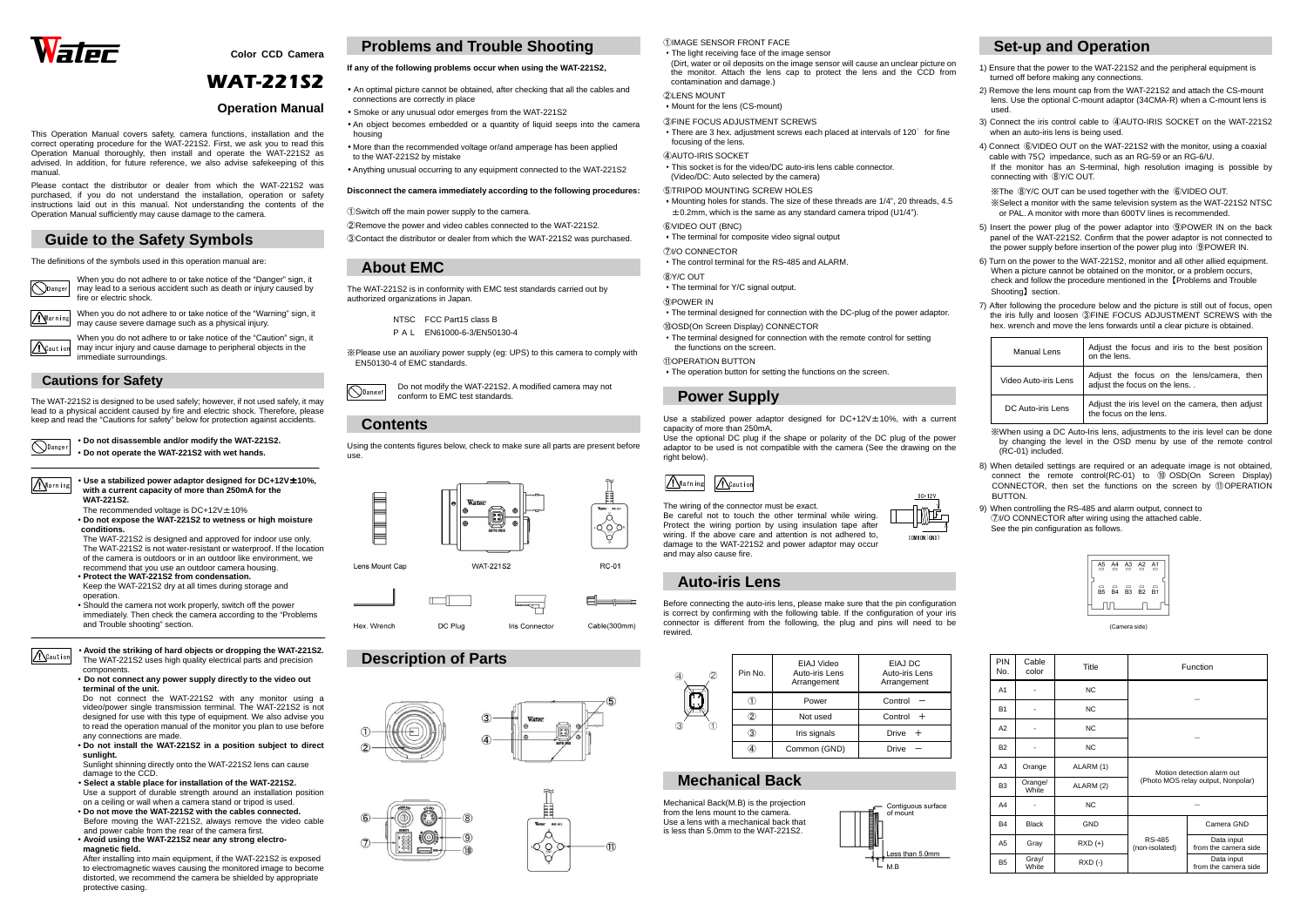



**Color CCD Camera** 

# WAT-221S2

### **Operation Manual**

This Operation Manual covers safety, camera functions, installation and the correct operating procedure for the WAT-221S2. First, we ask you to read this Operation Manual thoroughly, then install and operate the WAT-221S2 as advised. In addition, for future reference, we also advise safekeeping of this manual.

When you do not adhere to or take notice of the "Caution" sign, it may incur injury and cause damage to peripheral objects in the immediate surroundings.  $\Lambda$ Caution

Please contact the distributor or dealer from which the WAT-221S2 was purchased, if you do not understand the installation, operation or safety instructions laid out in this manual. Not understanding the contents of the Operation Manual sufficiently may cause damage to the camera.

## **Guide to the Safety Symbols**

The WAT-221S2 is designed to be used safely; however, if not used safely, it may lead to a physical accident caused by fire and electric shock. Therefore, please keep and read the "Cautions for safety" below for protection against accidents.

The definitions of the symbols used in this operation manual are:

Danger • **Do not disassemble and/or modify the WAT-221S2.** • **Do not operate the WAT-221S2 with wet hands.**

When you do not adhere to or take notice of the "Danger" sign, it may lead to a serious accident such as death or injury caused by fire or electric shock.

- The recommended voltage is  $DC+12V \pm 10\%$
- • **Do not expose the WAT-221S2 to wetness or high moisture conditions.**

### **Cautions for Safety**

 • **Use a stabilized power adaptor designed for DC+12V**±**10%, with a current capacity of more than 250mA for the WAT-221S2.** 

> The WAT-221S2 is designed and approved for indoor use only. The WAT-221S2 is not water-resistant or waterproof. If the location of the camera is outdoors or in an outdoor like environment, we recommend that you use an outdoor camera housing.

- **Protect the WAT-221S2 from condensation.**
- Keep the WAT-221S2 dry at all times during storage and operation.
- Should the camera not work properly, switch off the power immediately. Then check the camera according to the "Problems and Trouble shooting" section.

• **Avoid the striking of hard objects or dropping the WAT-221S2.**  The WAT-221S2 uses high quality electrical parts and precision components.

DangerDo not modify the WAT-221S2. A modified camera may not conform to EMC test standards.

### • **Do not connect any power supply directly to the video out terminal of the unit.**

 Do not connect the WAT-221S2 with any monitor using a video/power single transmission terminal. The WAT-221S2 is not designed for use with this type of equipment. We also advise you to read the operation manual of the monitor you plan to use before any connections are made.

 • **Do not install the WAT-221S2 in a position subject to direct sunlight.** 

 Sunlight shinning directly onto the WAT-221S2 lens can cause damage to the CCD.

 Use the optional DC plug if the shape or polarity of the DC plug of the power adaptor to be used is not compatible with the camera (See the drawing on the right helow)



- **Select a stable place for installation of the WAT-221S2.**  Use a support of durable strength around an installation position on a ceiling or wall when a camera stand or tripod is used.
- **Do not move the WAT-221S2 with the cables connected.** Before moving the WAT-221S2, always remove the video cable and power cable from the rear of the camera first.
- **Avoid using the WAT-221S2 near any strong electromagnetic field.**

 After installing into main equipment, if the WAT-221S2 is exposed to electromagnetic waves causing the monitored image to become distorted, we recommend the camera be shielded by appropriate protective casing.

## **Problems and Trouble Shooting**

### **If any of the following problems occur when using the WAT-221S2,**

4) Connect ⑥VIDEO OUT on the WAT-221S2 with the monitor, using a coaxial cable with 75Ω impedance, such as an RG-59 or an RG-6/U.

- An optimal picture cannot be obtained, after checking that all the cables and connections are correctly in place
- Smoke or any unusual odor emerges from the WAT-221S2
- An object becomes embedded or a quantity of liquid seeps into the camera housing
- More than the recommended voltage or/and amperage has been applied to the WAT-221S2 by mistake
- Anything unusual occurring to any equipment connected to the WAT-221S2

### **Disconnect the camera immediately according to the following procedures:**

6) Turn on the power to the WAT-221S2, monitor and all other allied equipment. When a picture cannot be obtained on the monitor, or a problem occurs, check and follow the procedure mentioned in the【Problems and Trouble Shooting】section.

①Switch off the main power supply to the camera.

 ②Remove the power and video cables connected to the WAT-221S2. ③Contact the distributor or dealer from which the WAT-221S2 was purchased.

### **About EMC**

The WAT-221S2 is in conformity with EMC test standards carried out by authorized organizations in Japan.

NTSC FCC Part15 class B

P <sup>A</sup> <sup>L</sup> EN61000-6-3/EN50130-4

※Please use an auxiliary power supply (eg: UPS) to this camera to comply with EN50130-4 of EMC standards.

> 8) When detailed settings are required or an adequate image is not obtained, connect the remote control(RC-01) to ⑩ OSD(On Screen Display)<br>CONNECTOR then set the functions on the screen by ⑪OPERATION CONNECTOR, then set the functions on the screen by ⑪OPERATION **BUTTON**

## **Contents**

Using the contents figures below, check to make sure all parts are present before use.

## **Description of Parts**









①IMAGE SENSOR FRONT FACE

| • The light receiving face of the image sensor<br>(Dirt, water or oil deposits on the image sensor will cause an unclear picture on<br>the monitor. Attach the lens cap to protect the lens and the CCD from<br>contamination and damage.) |
|--------------------------------------------------------------------------------------------------------------------------------------------------------------------------------------------------------------------------------------------|
| 2 LENS MOUNT<br>• Mount for the lens (CS-mount)                                                                                                                                                                                            |
| <b>3 FINE FOCUS ADJUSTMENT SCREWS</b><br>• There are 3 hex. adjustment screws each placed at intervals of 120° for fine<br>focusing of the lens.                                                                                           |
| 4 AUTO-IRIS SOCKET<br>• This socket is for the video/DC auto-iris lens cable connector.<br>(Video/DC: Auto selected by the camera)                                                                                                         |
| <b>5) TRIPOD MOUNTING SCREW HOLES</b><br>• Mounting holes for stands. The size of these threads are $1/4$ ", 20 threads, 4.5<br>$\pm$ 0.2mm, which is the same as any standard camera tripod (U1/4").                                      |
| 6 VIDEO OUT (BNC)<br>• The terminal for composite video signal output                                                                                                                                                                      |
| (7)I/O CONNECTOR<br>• The control terminal for the RS-485 and ALARM.                                                                                                                                                                       |
| 8Y/C OUT<br>• The terminal for Y/C signal output.                                                                                                                                                                                          |
| 9 POWER IN<br>• The terminal designed for connection with the DC-plug of the power adaptor.                                                                                                                                                |
| 100SD(On Screen Display) CONNECTOR                                                                                                                                                                                                         |

When you do not adhere to or take notice of the "Warning" sign, it may cause severe damage such as a physical injury. Warning

 ・The terminal designed for connection with the remote control for setting the functions on the screen.

- ⑪OPERATION BUTTON
- ・The operation button for setting the functions on the screen.

## **Power Supply**

Use a stabilized power adaptor designed for DC+12V±10%, with a current capacity of more than 250mA.

The wiring of the connector must be exact. Be careful not to touch the other terminal while wiring. Protect the wiring portion by using insulation tape after wiring. If the above care and attention is not adhered to, damage to the WAT-221S2 and power adaptor may occur and may also cause fire.

## **Auto-iris Lens**

Before connecting the auto-iris lens, please make sure that the pin configuration is correct by confirming with the following table. If the configuration of your iris connector is different from the following, the plug and pins will need to be rewired.

## **Mechanical Back**

Mechanical Back(M.B) is the projection from the lens mount to the camera. Use a lens with a mechanical back that is less than 5.0mm to the WAT-221S2.









### **Set-up and Operation**

1) Ensure that the power to the WAT-221S2 and the peripheral equipment is turned off before making any connections.

2) Remove the lens mount cap from the WAT-221S2 and attach the CS-mount lens. Use the optional C-mount adaptor (34CMA-R) when a C-mount lens is used.

3) Connect the iris control cable to ④AUTO-IRIS SOCKET on the WAT-221S2 when an auto-iris lens is being used.

 If the monitor has an S-terminal, high resolution imaging is possible by connecting with ⑧Y/C OUT.

※The ⑧Y/C OUT can be used together with the ⑥VIDEO OUT.

 ※Select a monitor with the same television system as the WAT-221S2 NTSC or PAL. A monitor with more than 600TV lines is recommended.

5) Insert the power plug of the power adaptor into ⑨POWER IN on the back panel of the WAT-221S2. Confirm that the power adaptor is not connected to the power supply before insertion of the power plug into ⑨POWER IN.

| 2<br>④<br>3 | Pin No. | EIAJ Video<br>Auto-iris Lens<br>Arrangement | EIAJ DC<br>Auto-iris Lens<br>Arrangement |
|-------------|---------|---------------------------------------------|------------------------------------------|
|             | (1)     | Power                                       | Control                                  |
|             | 2       | Not used                                    | Control $+$                              |
|             | 3       | Iris signals                                | <b>Drive</b>                             |
|             | A,      | Common (GND)                                | <b>Drive</b>                             |

7) After following the procedure below and the picture is still out of focus, open the iris fully and loosen ③FINE FOCUS ADJUSTMENT SCREWS with the hex. wrench and move the lens forwards until a clear picture is obtained.

| Manual Lens          | Adjust the focus and iris to the best position<br>on the lens.             |
|----------------------|----------------------------------------------------------------------------|
| Video Auto-iris Lens | Adjust the focus on the lens/camera, then<br>adjust the focus on the lens  |
| DC Auto-iris Lens    | Adjust the iris level on the camera, then adjust<br>the focus on the lens. |

※When using a DC Auto-Iris lens, adjustments to the iris level can be done by changing the level in the OSD menu by use of the remote control (RC-01) included.

 9) When controlling the RS-485 and alarm output, connect to ⑦I/O CONNECTOR after wiring using the attached cable. See the pin configuration as follows.



(Camera side)

| <b>PIN</b><br>No. | Cable<br>color   | Title      |                                                                  | Function                           |
|-------------------|------------------|------------|------------------------------------------------------------------|------------------------------------|
| A <sub>1</sub>    |                  | NC.        |                                                                  |                                    |
| <b>B1</b>         |                  | NC.        |                                                                  |                                    |
| A2                |                  | <b>NC</b>  |                                                                  |                                    |
| <b>B2</b>         |                  | NC.        |                                                                  |                                    |
| A <sub>3</sub>    | Orange           | ALARM (1)  | Motion detection alarm out<br>(Photo MOS relay output, Nonpolar) |                                    |
| B <sub>3</sub>    | Orange/<br>White | ALARM (2)  |                                                                  |                                    |
| A4                |                  | <b>NC</b>  |                                                                  |                                    |
| <b>B4</b>         | <b>Black</b>     | <b>GND</b> |                                                                  | Camera GND                         |
| A <sub>5</sub>    | Gray             | $RXD (+)$  | <b>RS-485</b><br>(non-isolated)                                  | Data input<br>from the camera side |
| <b>B5</b>         | Gray/<br>White   | RXD (-)    |                                                                  | Data input<br>from the camera side |